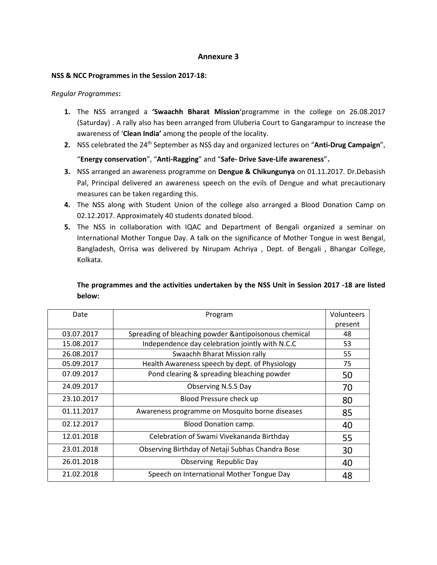## **Annexure 3**

#### **NSS & NCC Programmes in the Session 2017-18:**

#### *Regular Programmes***:**

- **1.** The NSS arranged a **'Swaachh Bharat Mission**'programme in the college on 26.08.2017 (Saturday) . A rally also has been arranged from Uluberia Court to Gangarampur to increase the awareness of '**Clean India'** among the people of the locality.
- 2. NSS celebrated the 24<sup>th</sup> September as NSS day and organized lectures on "Anti-Drug Campaign", "**Energy conservation**", "**Anti-Ragging**" and "**Safe- Drive Save-Life awareness**".
- **3.** NSS arranged an awareness programme on **Dengue & Chikungunya** on 01.11.2017. Dr.Debasish Pal, Principal delivered an awareness speech on the evils of Dengue and what precautionary measures can be taken regarding this.
- **4.** The NSS along with Student Union of the college also arranged a Blood Donation Camp on 02.12.2017. Approximately 40 students donated blood.
- **5.** The NSS in collaboration with IQAC and Department of Bengali organized a seminar on International Mother Tongue Day. A talk on the significance of Mother Tongue in west Bengal, Bangladesh, Orrisa was delivered by Nirupam Achriya , Dept. of Bengali , Bhangar College, Kolkata.

# **The programmes and the activities undertaken by the NSS Unit in Session 2017 -18 are listed below:**

| Date       | Program                                                | Volunteers |
|------------|--------------------------------------------------------|------------|
|            |                                                        | present    |
| 03.07.2017 | Spreading of bleaching powder & antipoisonous chemical | 48         |
| 15.08.2017 | Independence day celebration jointly with N.C.C        | 53         |
| 26.08.2017 | Swaachh Bharat Mission rally                           | 55         |
| 05.09.2017 | Health Awareness speech by dept. of Physiology         | 75         |
| 07.09.2017 | Pond clearing & spreading bleaching powder             | 50         |
| 24.09.2017 | Observing N.S.S Day                                    | 70         |
| 23.10.2017 | Blood Pressure check up                                | 80         |
| 01.11.2017 | Awareness programme on Mosquito borne diseases         | 85         |
| 02.12.2017 | <b>Blood Donation camp.</b>                            | 40         |
| 12.01.2018 | Celebration of Swami Vivekananda Birthday              | 55         |
| 23.01.2018 | Observing Birthday of Netaji Subhas Chandra Bose       | 30         |
| 26.01.2018 | Observing Republic Day                                 | 40         |
| 21.02.2018 | Speech on International Mother Tongue Day              | 48         |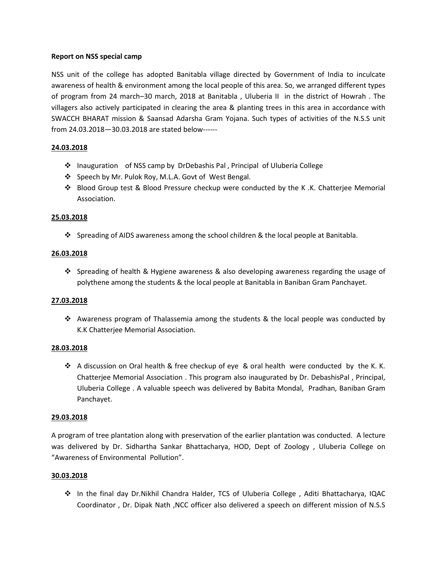## **Report on NSS special camp**

NSS unit of the college has adopted Banitabla village directed by Government of India to inculcate awareness of health & environment among the local people of this area. So, we arranged different types of program from 24 march–30 march, 2018 at Banitabla , Uluberia II in the district of Howrah . The villagers also actively participated in clearing the area & planting trees in this area in accordance with SWACCH BHARAT mission & Saansad Adarsha Gram Yojana. Such types of activities of the N.S.S unit from 24.03.2018—30.03.2018 are stated below------

## **24.03.2018**

- ❖ Inauguration of NSS camp by DrDebashis Pal , Principal of Uluberia College
- ❖ Speech by Mr. Pulok Roy, M.L.A. Govt of West Bengal.
- ❖ Blood Group test & Blood Pressure checkup were conducted by the K .K. Chatterjee Memorial Association.

## **25.03.2018**

❖ Spreading of AIDS awareness among the school children & the local people at Banitabla.

## **26.03.2018**

❖ Spreading of health & Hygiene awareness & also developing awareness regarding the usage of polythene among the students & the local people at Banitabla in Baniban Gram Panchayet.

#### **27.03.2018**

❖ Awareness program of Thalassemia among the students & the local people was conducted by K.K Chatterjee Memorial Association.

#### **28.03.2018**

❖ A discussion on Oral health & free checkup of eye & oral health were conducted by the K. K. Chatterjee Memorial Association . This program also inaugurated by Dr. DebashisPal , Principal, Uluberia College . A valuable speech was delivered by Babita Mondal, Pradhan, Baniban Gram Panchayet.

#### **29.03.2018**

A program of tree plantation along with preservation of the earlier plantation was conducted. A lecture was delivered by Dr. Sidhartha Sankar Bhattacharya, HOD, Dept of Zoology , Uluberia College on "Awareness of Environmental Pollution".

#### **30.03.2018**

❖ In the final day Dr.Nikhil Chandra Halder, TCS of Uluberia College , Aditi Bhattacharya, IQAC Coordinator , Dr. Dipak Nath ,NCC officer also delivered a speech on different mission of N.S.S